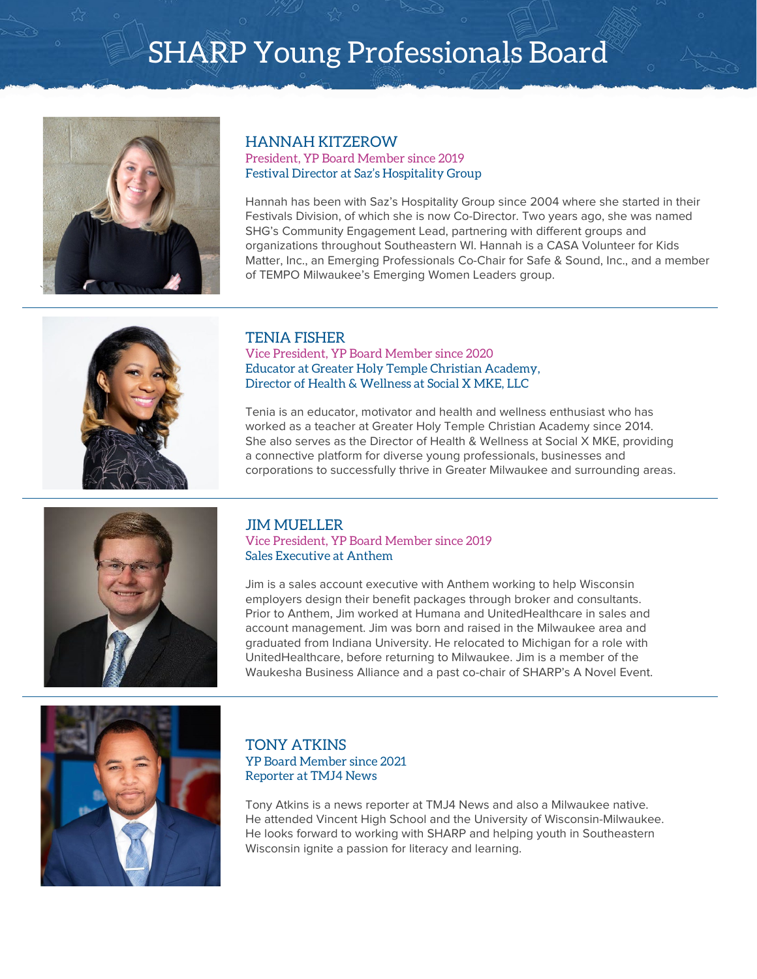

### HANNAH KITZEROW

President, YP Board Member since 2019 Festival Director at Saz's Hospitality Group

Hannah has been with Saz's Hospitality Group since 2004 where she started in their Festivals Division, of which she is now Co-Director. Two years ago, she was named SHG's Community Engagement Lead, partnering with different groups and organizations throughout Southeastern WI. Hannah is a CASA Volunteer for Kids Matter, Inc., an Emerging Professionals Co-Chair for Safe & Sound, Inc., and a member of TEMPO Milwaukee's Emerging Women Leaders group.



### TENIA FISHER

Vice President, YP Board Member since 2020 Educator at Greater Holy Temple Christian Academy, Director of Health & Wellness at Social X MKE, LLC

Tenia is an educator, motivator and health and wellness enthusiast who has worked as a teacher at Greater Holy Temple Christian Academy since 2014. She also serves as the Director of Health & Wellness at Social X MKE, providing a connective platform for diverse young professionals, businesses and corporations to successfully thrive in Greater Milwaukee and surrounding areas.



#### JIM MUELLER Vice President, YP Board Member since 2019 Sales Executive at Anthem

Jim is a sales account executive with Anthem working to help Wisconsin employers design their benefit packages through broker and consultants. Prior to Anthem, Jim worked at Humana and UnitedHealthcare in sales and account management. Jim was born and raised in the Milwaukee area and graduated from Indiana University. He relocated to Michigan for a role with UnitedHealthcare, before returning to Milwaukee. Jim is a member of the Waukesha Business Alliance and a past co-chair of SHARP's A Novel Event.



#### TONY ATKINS YP Board Member since 2021 Reporter at TMJ4 News

Tony Atkins is a news reporter at TMJ4 News and also a Milwaukee native. He attended Vincent High School and the University of Wisconsin-Milwaukee. He looks forward to working with SHARP and helping youth in Southeastern Wisconsin ignite a passion for literacy and learning.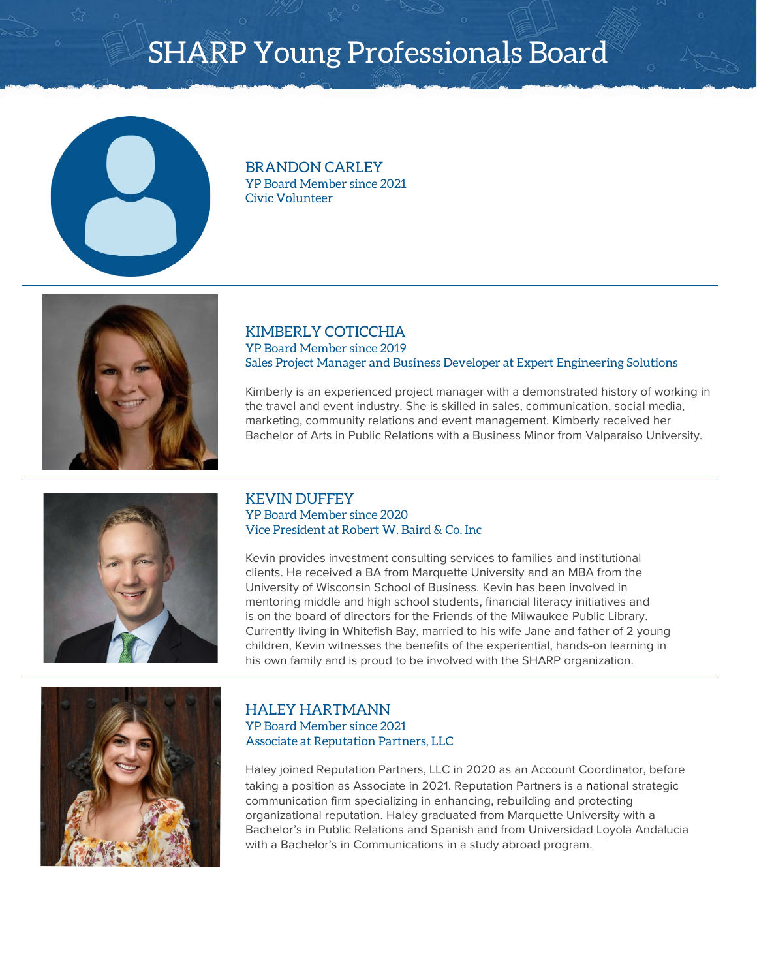

BRANDON CARLEY YP Board Member since 2021 Civic Volunteer



#### KIMBERLY COTICCHIA YP Board Member since 2019 Sales Project Manager and Business Developer at Expert Engineering Solutions

Kimberly is an experienced project manager with a demonstrated history of working in the travel and event industry. She is skilled in sales, communication, social media, marketing, community relations and event management. Kimberly received her Bachelor of Arts in Public Relations with a Business Minor from Valparaiso University.



#### KEVIN DUFFEY YP Board Member since 2020 Vice President at Robert W. Baird & Co. Inc

Kevin provides investment consulting services to families and institutional clients. He received a BA from Marquette University and an MBA from the University of Wisconsin School of Business. Kevin has been involved in mentoring middle and high school students, financial literacy initiatives and is on the board of directors for the Friends of the Milwaukee Public Library. Currently living in Whitefish Bay, married to his wife Jane and father of 2 young children, Kevin witnesses the benefits of the experiential, hands-on learning in his own family and is proud to be involved with the SHARP organization.



#### HALEY HARTMANN YP Board Member since 2021 Associate at Reputation Partners, LLC

Haley joined Reputation Partners, LLC in 2020 as an Account Coordinator, before taking a position as Associate in 2021. Reputation Partners is a national strategic communication firm specializing in enhancing, rebuilding and protecting organizational reputation. Haley graduated from Marquette University with a Bachelor's in Public Relations and Spanish and from Universidad Loyola Andalucia with a Bachelor's in Communications in a study abroad program.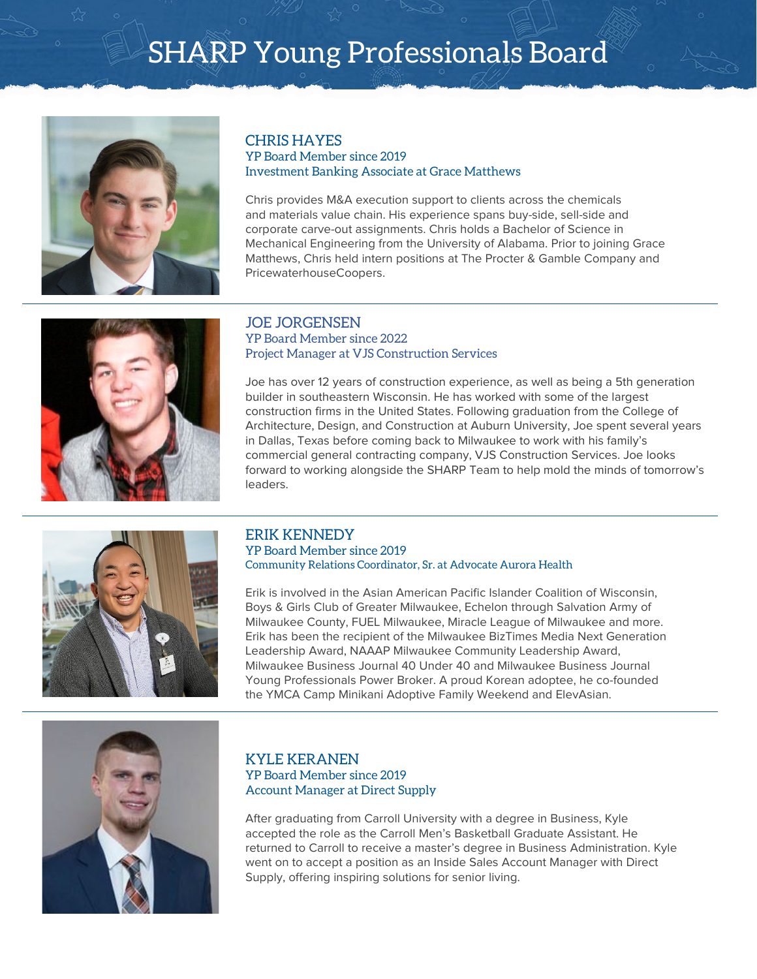

### CHRIS HAYES

#### YP Board Member since 2019 Investment Banking Associate at Grace Matthews

Chris provides M&A execution support to clients across the chemicals and materials value chain. His experience spans buy-side, sell-side and corporate carve-out assignments. Chris holds a Bachelor of Science in Mechanical Engineering from the University of Alabama. Prior to joining Grace Matthews, Chris held intern positions at The Procter & Gamble Company and PricewaterhouseCoopers.



#### JOE JORGENSEN YP Board Member since 2022 Project Manager at VJS Construction Services

Joe has over 12 years of construction experience, as well as being a 5th generation builder in southeastern Wisconsin. He has worked with some of the largest construction firms in the United States. Following graduation from the College of Architecture, Design, and Construction at Auburn University, Joe spent several years in Dallas, Texas before coming back to Milwaukee to work with his family's commercial general contracting company, VJS Construction Services. Joe looks forward to working alongside the SHARP Team to help mold the minds of tomorrow's leaders.



#### ERIK KENNEDY YP Board Member since 2019 Community Relations Coordinator, Sr. at Advocate Aurora Health

Erik is involved in the Asian American Pacific Islander Coalition of Wisconsin, Boys & Girls Club of Greater Milwaukee, Echelon through Salvation Army of Milwaukee County, FUEL Milwaukee, Miracle League of Milwaukee and more. Erik has been the recipient of the Milwaukee BizTimes Media Next Generation Leadership Award, NAAAP Milwaukee Community Leadership Award, Milwaukee Business Journal 40 Under 40 and Milwaukee Business Journal Young Professionals Power Broker. A proud Korean adoptee, he co-founded the YMCA Camp Minikani Adoptive Family Weekend and ElevAsian.



#### KYLE KERANEN YP Board Member since 2019 Account Manager at Direct Supply

After graduating from Carroll University with a degree in Business, Kyle accepted the role as the Carroll Men's Basketball Graduate Assistant. He returned to Carroll to receive a master's degree in Business Administration. Kyle went on to accept a position as an Inside Sales Account Manager with Direct Supply, offering inspiring solutions for senior living.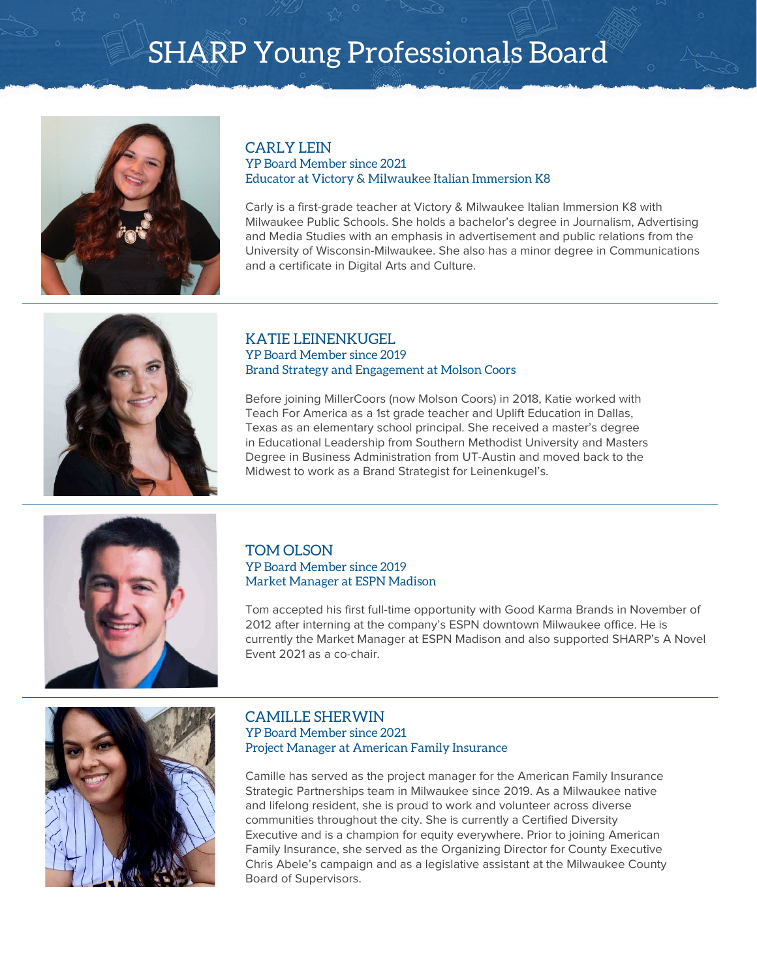

#### CARLY LEIN YP Board Member since 2021 Educator at Victory & Milwaukee Italian Immersion K8

Carly is a first-grade teacher at Victory & Milwaukee Italian Immersion K8 with Milwaukee Public Schools. She holds a bachelor's degree in Journalism, Advertising and Media Studies with an emphasis in advertisement and public relations from the University of Wisconsin-Milwaukee. She also has a minor degree in Communications and a certificate in Digital Arts and Culture.



#### KATIE LEINENKUGEL YP Board Member since 2019 Brand Strategy and Engagement at Molson Coors

Before joining MillerCoors (now Molson Coors) in 2018, Katie worked with Teach For America as a 1st grade teacher and Uplift Education in Dallas, Texas as an elementary school principal. She received a master's degree in Educational Leadership from Southern Methodist University and Masters Degree in Business Administration from UT-Austin and moved back to the Midwest to work as a Brand Strategist for Leinenkugel's.



#### TOM OLSON YP Board Member since 2019 Market Manager at ESPN Madison

Tom accepted his first full-time opportunity with Good Karma Brands in November of 2012 after interning at the company's ESPN downtown Milwaukee office. He is currently the Market Manager at ESPN Madison and also supported SHARP's A Novel Event 2021 as a co-chair.



#### CAMILLE SHERWIN YP Board Member since 2021 Project Manager at American Family Insurance

Camille has served as the project manager for the American Family Insurance Strategic Partnerships team in Milwaukee since 2019. As a Milwaukee native and lifelong resident, she is proud to work and volunteer across diverse communities throughout the city. She is currently a Certified Diversity Executive and is a champion for equity everywhere. Prior to joining American Family Insurance, she served as the Organizing Director for County Executive Chris Abele's campaign and as a legislative assistant at the Milwaukee County Board of Supervisors.